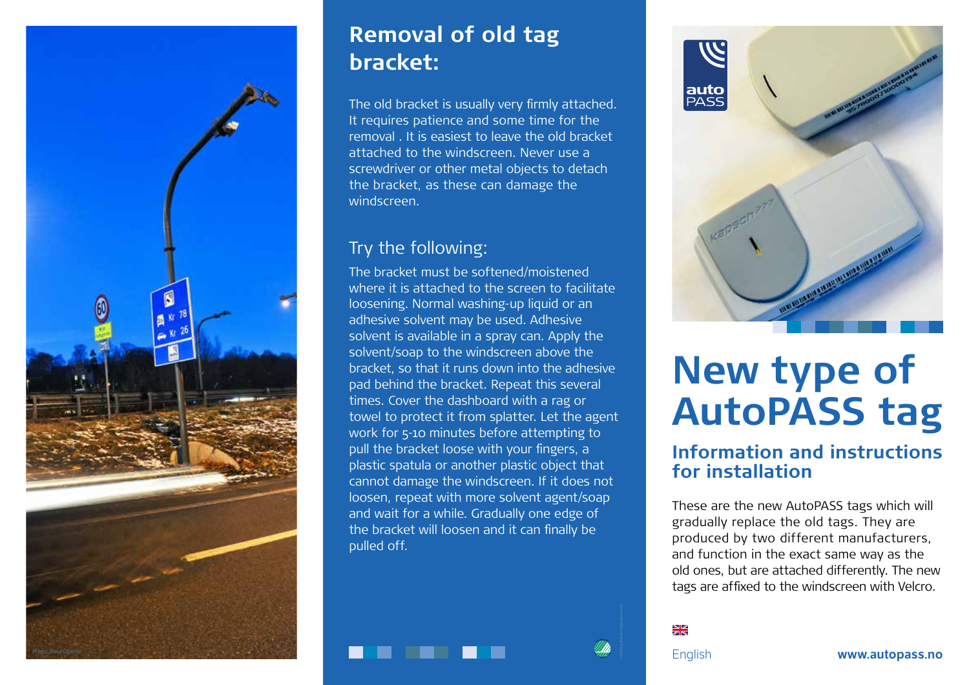

## **Removal of old tag bracket:**

The old bracket is usually very firmly attached. It requires patience and some time for the removal . It is easiest to leave the old bracket attached to the windscreen. Never use a screwdriver or other metal objects to detach the bracket, as these can damage the windscreen.

## Try the following:

The bracket must be softened/moistened where it is attached to the screen to facilitate loosening. Normal washing-up liquid or an adhesive solvent may be used. Adhesive solvent is available in a spray can. Apply the solvent/soap to the windscreen above the bracket, so that it runs down into the adhesive pad behind the bracket. Repeat this several times. Cover the dashboard with a rag or towel to protect it from splatter. Let the agent work for 5-10 minutes before attempting to pull the bracket loose with your fingers, a plastic spatula or another plastic object that cannot damage the windscreen. If it does not loosen, repeat with more solvent agent/soap and wait for a while. Gradually one edge of the bracket will loosen and it can finally be pulled off.



# **New type of AutoPASS tag**

### **Information and instructions for installation**

These are the new AutoPASS tags which will gradually replace the old tags. They are produced by two different manufacturers, and function in the exact same way as the old ones, but are attached differently. The new tags are affixed to the windscreen with Velcro.

 $\frac{N}{2}$ 

M<sup>I</sup>LJ<sup>Ø</sup>  $\approx$ 241